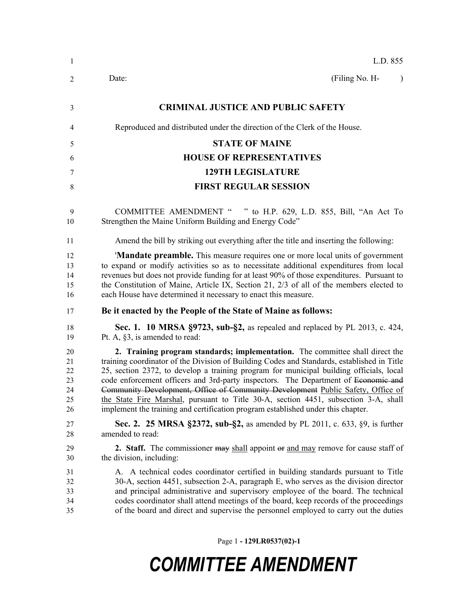| $\mathbf{1}$                           | L.D. 855                                                                                                                                                                                                                                                                                                                                                                                                                                                                                                                                                                                                                   |  |
|----------------------------------------|----------------------------------------------------------------------------------------------------------------------------------------------------------------------------------------------------------------------------------------------------------------------------------------------------------------------------------------------------------------------------------------------------------------------------------------------------------------------------------------------------------------------------------------------------------------------------------------------------------------------------|--|
| 2                                      | (Filing No. H-<br>Date:<br>$\lambda$                                                                                                                                                                                                                                                                                                                                                                                                                                                                                                                                                                                       |  |
| 3                                      | <b>CRIMINAL JUSTICE AND PUBLIC SAFETY</b>                                                                                                                                                                                                                                                                                                                                                                                                                                                                                                                                                                                  |  |
| 4                                      | Reproduced and distributed under the direction of the Clerk of the House.                                                                                                                                                                                                                                                                                                                                                                                                                                                                                                                                                  |  |
| 5                                      | <b>STATE OF MAINE</b>                                                                                                                                                                                                                                                                                                                                                                                                                                                                                                                                                                                                      |  |
| 6                                      | <b>HOUSE OF REPRESENTATIVES</b>                                                                                                                                                                                                                                                                                                                                                                                                                                                                                                                                                                                            |  |
| 7                                      | <b>129TH LEGISLATURE</b>                                                                                                                                                                                                                                                                                                                                                                                                                                                                                                                                                                                                   |  |
| 8                                      | <b>FIRST REGULAR SESSION</b>                                                                                                                                                                                                                                                                                                                                                                                                                                                                                                                                                                                               |  |
| 9<br>10                                | <b>COMMITTEE AMENDMENT "</b><br>" to H.P. 629, L.D. 855, Bill, "An Act To<br>Strengthen the Maine Uniform Building and Energy Code"                                                                                                                                                                                                                                                                                                                                                                                                                                                                                        |  |
| 11                                     | Amend the bill by striking out everything after the title and inserting the following:                                                                                                                                                                                                                                                                                                                                                                                                                                                                                                                                     |  |
| 12<br>13<br>14<br>15<br>16             | 'Mandate preamble. This measure requires one or more local units of government<br>to expand or modify activities so as to necessitate additional expenditures from local<br>revenues but does not provide funding for at least 90% of those expenditures. Pursuant to<br>the Constitution of Maine, Article IX, Section 21, 2/3 of all of the members elected to<br>each House have determined it necessary to enact this measure.                                                                                                                                                                                         |  |
| 17                                     | Be it enacted by the People of the State of Maine as follows:                                                                                                                                                                                                                                                                                                                                                                                                                                                                                                                                                              |  |
| 18<br>19                               | Sec. 1. 10 MRSA §9723, sub-§2, as repealed and replaced by PL 2013, c. 424,<br>Pt. A, §3, is amended to read:                                                                                                                                                                                                                                                                                                                                                                                                                                                                                                              |  |
| 20<br>21<br>22<br>23<br>24<br>25<br>26 | 2. Training program standards; implementation. The committee shall direct the<br>training coordinator of the Division of Building Codes and Standards, established in Title<br>25, section 2372, to develop a training program for municipal building officials, local<br>code enforcement officers and 3rd-party inspectors. The Department of Economic and<br>Community Development, Office of Community Development Public Safety, Office of<br>the State Fire Marshal, pursuant to Title 30-A, section 4451, subsection 3-A, shall<br>implement the training and certification program established under this chapter. |  |
| 27<br>28                               | <b>Sec. 2. 25 MRSA §2372, sub-§2,</b> as amended by PL 2011, c. 633, §9, is further<br>amended to read:                                                                                                                                                                                                                                                                                                                                                                                                                                                                                                                    |  |
| 29<br>30                               | 2. Staff. The commissioner may shall appoint or and may remove for cause staff of<br>the division, including:                                                                                                                                                                                                                                                                                                                                                                                                                                                                                                              |  |
| 31<br>32<br>33<br>34<br>35             | A. A technical codes coordinator certified in building standards pursuant to Title<br>30-A, section 4451, subsection 2-A, paragraph E, who serves as the division director<br>and principal administrative and supervisory employee of the board. The technical<br>codes coordinator shall attend meetings of the board, keep records of the proceedings<br>of the board and direct and supervise the personnel employed to carry out the duties                                                                                                                                                                           |  |

Page 1 **- 129LR0537(02)-1**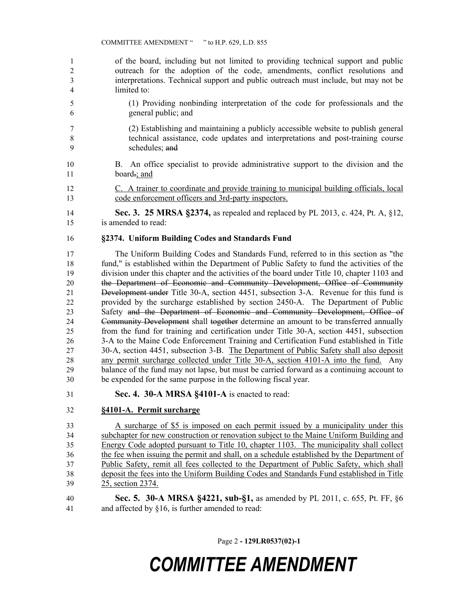of the board, including but not limited to providing technical support and public outreach for the adoption of the code, amendments, conflict resolutions and interpretations. Technical support and public outreach must include, but may not be limited to:

- (1) Providing nonbinding interpretation of the code for professionals and the general public; and
- (2) Establishing and maintaining a publicly accessible website to publish general technical assistance, code updates and interpretations and post-training course schedules; and
- B. An office specialist to provide administrative support to the division and the 11 board.; and
- C. A trainer to coordinate and provide training to municipal building officials, local code enforcement officers and 3rd-party inspectors.
- **Sec. 3. 25 MRSA §2374,** as repealed and replaced by PL 2013, c. 424, Pt. A, §12, is amended to read:

#### **§2374. Uniform Building Codes and Standards Fund**

 The Uniform Building Codes and Standards Fund, referred to in this section as "the fund," is established within the Department of Public Safety to fund the activities of the division under this chapter and the activities of the board under Title 10, chapter 1103 and 20 the Department of Economic and Community Development, Office of Community Development under Title 30-A, section 4451, subsection 3-A. Revenue for this fund is provided by the surcharge established by section 2450-A. The Department of Public Safety and the Department of Economic and Community Development, Office of Community Development shall together determine an amount to be transferred annually from the fund for training and certification under Title 30-A, section 4451, subsection 3-A to the Maine Code Enforcement Training and Certification Fund established in Title 30-A, section 4451, subsection 3-B. The Department of Public Safety shall also deposit any permit surcharge collected under Title 30-A, section 4101-A into the fund. Any balance of the fund may not lapse, but must be carried forward as a continuing account to be expended for the same purpose in the following fiscal year.

**Sec. 4. 30-A MRSA §4101-A** is enacted to read:

### **§4101-A. Permit surcharge**

 A surcharge of \$5 is imposed on each permit issued by a municipality under this subchapter for new construction or renovation subject to the Maine Uniform Building and Energy Code adopted pursuant to Title 10, chapter 1103. The municipality shall collect the fee when issuing the permit and shall, on a schedule established by the Department of Public Safety, remit all fees collected to the Department of Public Safety, which shall deposit the fees into the Uniform Building Codes and Standards Fund established in Title 25, section 2374.

 **Sec. 5. 30-A MRSA §4221, sub-§1,** as amended by PL 2011, c. 655, Pt. FF, §6 and affected by §16, is further amended to read:

Page 2 **- 129LR0537(02)-1**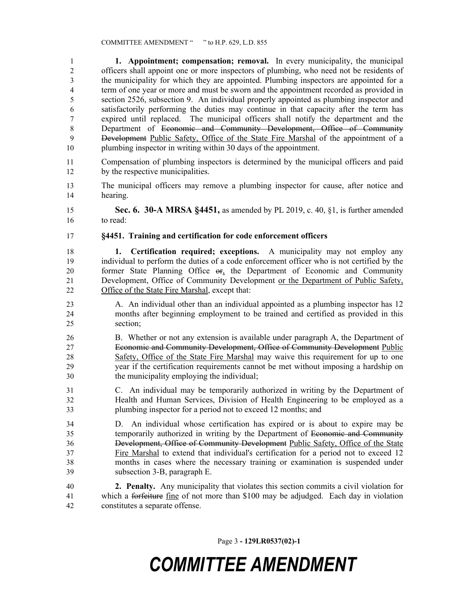**1. Appointment; compensation; removal.** In every municipality, the municipal officers shall appoint one or more inspectors of plumbing, who need not be residents of the municipality for which they are appointed. Plumbing inspectors are appointed for a term of one year or more and must be sworn and the appointment recorded as provided in section 2526, subsection 9. An individual properly appointed as plumbing inspector and satisfactorily performing the duties may continue in that capacity after the term has expired until replaced. The municipal officers shall notify the department and the Department of Economic and Community Development, Office of Community Development Public Safety, Office of the State Fire Marshal of the appointment of a plumbing inspector in writing within 30 days of the appointment.

- Compensation of plumbing inspectors is determined by the municipal officers and paid 12 by the respective municipalities.
- The municipal officers may remove a plumbing inspector for cause, after notice and hearing.

 **Sec. 6. 30-A MRSA §4451,** as amended by PL 2019, c. 40, §1, is further amended to read:

### **§4451. Training and certification for code enforcement officers**

 **1. Certification required; exceptions.** A municipality may not employ any individual to perform the duties of a code enforcement officer who is not certified by the former State Planning Office or, the Department of Economic and Community Development, Office of Community Development or the Department of Public Safety, Office of the State Fire Marshal, except that:

- A. An individual other than an individual appointed as a plumbing inspector has 12 months after beginning employment to be trained and certified as provided in this section;
- B. Whether or not any extension is available under paragraph A, the Department of Economic and Community Development, Office of Community Development Public Safety, Office of the State Fire Marshal may waive this requirement for up to one year if the certification requirements cannot be met without imposing a hardship on the municipality employing the individual;
- C. An individual may be temporarily authorized in writing by the Department of Health and Human Services, Division of Health Engineering to be employed as a plumbing inspector for a period not to exceed 12 months; and

 D. An individual whose certification has expired or is about to expire may be temporarily authorized in writing by the Department of Economic and Community Development, Office of Community Development Public Safety, Office of the State Fire Marshal to extend that individual's certification for a period not to exceed 12 months in cases where the necessary training or examination is suspended under subsection 3-B, paragraph E.

 **2. Penalty.** Any municipality that violates this section commits a civil violation for which a forfeiture fine of not more than \$100 may be adjudged. Each day in violation constitutes a separate offense.

Page 3 **- 129LR0537(02)-1**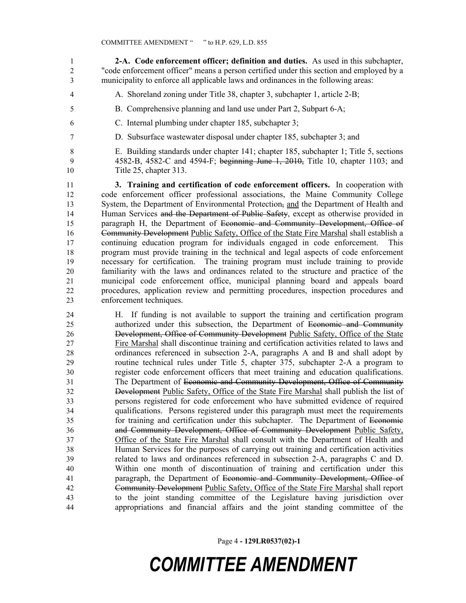**2-A. Code enforcement officer; definition and duties.** As used in this subchapter, "code enforcement officer" means a person certified under this section and employed by a municipality to enforce all applicable laws and ordinances in the following areas:

- A. Shoreland zoning under Title 38, chapter 3, subchapter 1, article 2-B;
- B. Comprehensive planning and land use under Part 2, Subpart 6-A;
- C. Internal plumbing under chapter 185, subchapter 3;
- D. Subsurface wastewater disposal under chapter 185, subchapter 3; and

 E. Building standards under chapter 141; chapter 185, subchapter 1; Title 5, sections 4582-B, 4582-C and 4594-F; beginning June 1, 2010, Title 10, chapter 1103; and

Title 25, chapter 313.

 **3. Training and certification of code enforcement officers.** In cooperation with code enforcement officer professional associations, the Maine Community College 13 System, the Department of Environmental Protection, and the Department of Health and 14 Human Services and the Department of Public Safety, except as otherwise provided in paragraph H, the Department of Economic and Community Development, Office of Community Development Public Safety, Office of the State Fire Marshal shall establish a continuing education program for individuals engaged in code enforcement. This program must provide training in the technical and legal aspects of code enforcement necessary for certification. The training program must include training to provide familiarity with the laws and ordinances related to the structure and practice of the municipal code enforcement office, municipal planning board and appeals board procedures, application review and permitting procedures, inspection procedures and enforcement techniques.

 H. If funding is not available to support the training and certification program authorized under this subsection, the Department of Economic and Community Development, Office of Community Development Public Safety, Office of the State Fire Marshal shall discontinue training and certification activities related to laws and ordinances referenced in subsection 2-A, paragraphs A and B and shall adopt by routine technical rules under Title 5, chapter 375, subchapter 2-A a program to register code enforcement officers that meet training and education qualifications. The Department of Economic and Community Development, Office of Community Development Public Safety, Office of the State Fire Marshal shall publish the list of persons registered for code enforcement who have submitted evidence of required qualifications. Persons registered under this paragraph must meet the requirements for training and certification under this subchapter. The Department of Economic and Community Development, Office of Community Development Public Safety, Office of the State Fire Marshal shall consult with the Department of Health and Human Services for the purposes of carrying out training and certification activities related to laws and ordinances referenced in subsection 2-A, paragraphs C and D. Within one month of discontinuation of training and certification under this paragraph, the Department of Economic and Community Development, Office of Community Development Public Safety, Office of the State Fire Marshal shall report to the joint standing committee of the Legislature having jurisdiction over appropriations and financial affairs and the joint standing committee of the

Page 4 **- 129LR0537(02)-1**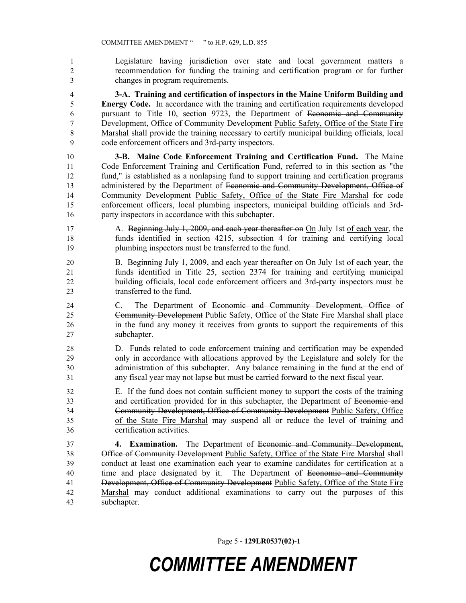Legislature having jurisdiction over state and local government matters a recommendation for funding the training and certification program or for further changes in program requirements.

 **3-A. Training and certification of inspectors in the Maine Uniform Building and Energy Code.** In accordance with the training and certification requirements developed pursuant to Title 10, section 9723, the Department of Economic and Community Development, Office of Community Development Public Safety, Office of the State Fire 8 Marshal shall provide the training necessary to certify municipal building officials, local code enforcement officers and 3rd-party inspectors.

 **3-B. Maine Code Enforcement Training and Certification Fund.** The Maine Code Enforcement Training and Certification Fund, referred to in this section as "the fund," is established as a nonlapsing fund to support training and certification programs 13 administered by the Department of Economic and Community Development, Office of Community Development Public Safety, Office of the State Fire Marshal for code enforcement officers, local plumbing inspectors, municipal building officials and 3rd-party inspectors in accordance with this subchapter.

- 17 A. Beginning July 1, 2009, and each year thereafter on On July 1st of each year, the funds identified in section 4215, subsection 4 for training and certifying local plumbing inspectors must be transferred to the fund.
- 20 B. Beginning July 1, 2009, and each year thereafter on On July 1st of each year, the funds identified in Title 25, section 2374 for training and certifying municipal building officials, local code enforcement officers and 3rd-party inspectors must be transferred to the fund.
- C. The Department of Economic and Community Development, Office of Community Development Public Safety, Office of the State Fire Marshal shall place in the fund any money it receives from grants to support the requirements of this subchapter.
- D. Funds related to code enforcement training and certification may be expended only in accordance with allocations approved by the Legislature and solely for the administration of this subchapter. Any balance remaining in the fund at the end of any fiscal year may not lapse but must be carried forward to the next fiscal year.
- E. If the fund does not contain sufficient money to support the costs of the training and certification provided for in this subchapter, the Department of Economic and Community Development, Office of Community Development Public Safety, Office of the State Fire Marshal may suspend all or reduce the level of training and certification activities.

 **4. Examination.** The Department of Economic and Community Development, Office of Community Development Public Safety, Office of the State Fire Marshal shall conduct at least one examination each year to examine candidates for certification at a 40 time and place designated by it. The Department of <del>Economic and Community</del> 41 Development, Office of Community Development Public Safety, Office of the State Fire Marshal may conduct additional examinations to carry out the purposes of this subchapter.

Page 5 **- 129LR0537(02)-1**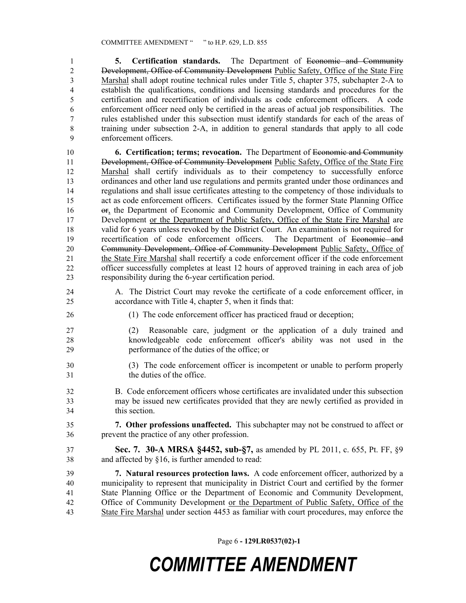**5. Certification standards.** The Department of Economic and Community 2 Development, Office of Community Development Public Safety, Office of the State Fire Marshal shall adopt routine technical rules under Title 5, chapter 375, subchapter 2-A to establish the qualifications, conditions and licensing standards and procedures for the certification and recertification of individuals as code enforcement officers. A code enforcement officer need only be certified in the areas of actual job responsibilities. The rules established under this subsection must identify standards for each of the areas of training under subsection 2-A, in addition to general standards that apply to all code enforcement officers.

 **6. Certification; terms; revocation.** The Department of Economic and Community 11 Development, Office of Community Development Public Safety, Office of the State Fire Marshal shall certify individuals as to their competency to successfully enforce ordinances and other land use regulations and permits granted under those ordinances and regulations and shall issue certificates attesting to the competency of those individuals to act as code enforcement officers. Certificates issued by the former State Planning Office or, the Department of Economic and Community Development, Office of Community 17 Development or the Department of Public Safety, Office of the State Fire Marshal are 18 valid for 6 years unless revoked by the District Court. An examination is not required for<br>19 recertification of code enforcement officers. The Department of <del>Economic and</del> 19 recertification of code enforcement officers. 20 Community Development, Office of Community Development Public Safety, Office of 21 the State Fire Marshal shall recertify a code enforcement officer if the code enforcement officer successfully completes at least 12 hours of approved training in each area of job responsibility during the 6-year certification period.

- A. The District Court may revoke the certificate of a code enforcement officer, in accordance with Title 4, chapter 5, when it finds that:
- (1) The code enforcement officer has practiced fraud or deception;
- (2) Reasonable care, judgment or the application of a duly trained and knowledgeable code enforcement officer's ability was not used in the performance of the duties of the office; or
- (3) The code enforcement officer is incompetent or unable to perform properly the duties of the office.
- B. Code enforcement officers whose certificates are invalidated under this subsection may be issued new certificates provided that they are newly certified as provided in this section.
- **7. Other professions unaffected.** This subchapter may not be construed to affect or prevent the practice of any other profession.
- **Sec. 7. 30-A MRSA §4452, sub-§7,** as amended by PL 2011, c. 655, Pt. FF, §9 and affected by §16, is further amended to read:

 **7. Natural resources protection laws.** A code enforcement officer, authorized by a municipality to represent that municipality in District Court and certified by the former State Planning Office or the Department of Economic and Community Development, Office of Community Development or the Department of Public Safety, Office of the State Fire Marshal under section 4453 as familiar with court procedures, may enforce the

Page 6 **- 129LR0537(02)-1**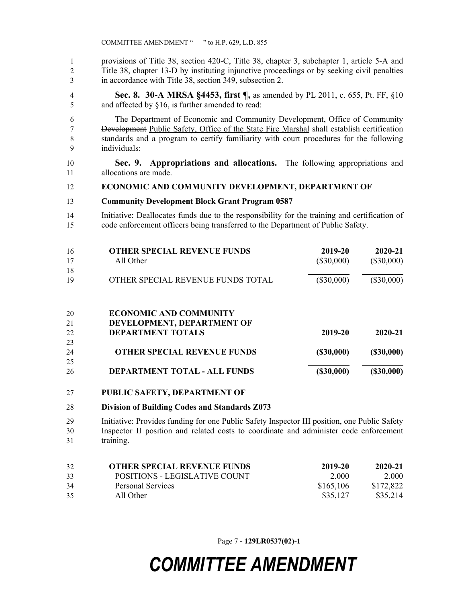provisions of Title 38, section 420-C, Title 38, chapter 3, subchapter 1, article 5-A and Title 38, chapter 13-D by instituting injunctive proceedings or by seeking civil penalties in accordance with Title 38, section 349, subsection 2.

 **Sec. 8. 30-A MRSA §4453, first ¶,** as amended by PL 2011, c. 655, Pt. FF, §10 and affected by §16, is further amended to read:

 The Department of Economic and Community Development, Office of Community Development Public Safety, Office of the State Fire Marshal shall establish certification standards and a program to certify familiarity with court procedures for the following individuals:

 **Sec. 9. Appropriations and allocations.** The following appropriations and allocations are made.

#### **ECONOMIC AND COMMUNITY DEVELOPMENT, DEPARTMENT OF**

- **Community Development Block Grant Program 0587**
- Initiative: Deallocates funds due to the responsibility for the training and certification of code enforcement officers being transferred to the Department of Public Safety.

| 16 | <b>OTHER SPECIAL REVENUE FUNDS</b> | 2019-20      | 2020-21      |
|----|------------------------------------|--------------|--------------|
| 17 | All Other                          | $(\$30,000)$ | $(\$30,000)$ |
| 18 |                                    |              |              |
| 19 | OTHER SPECIAL REVENUE FUNDS TOTAL  | $(\$30,000)$ | $(\$30,000)$ |
|    |                                    |              |              |
|    |                                    |              |              |
| 20 | <b>ECONOMIC AND COMMUNITY</b>      |              |              |

| 21 | DEVELOPMENT, DEPARTMENT OF          |           |           |
|----|-------------------------------------|-----------|-----------|
| 22 | <b>DEPARTMENT TOTALS</b>            | 2019-20   | 2020-21   |
| 23 |                                     |           |           |
| 24 | <b>OTHER SPECIAL REVENUE FUNDS</b>  | (S30,000) | (S30,000) |
| 25 |                                     |           |           |
| 26 | <b>DEPARTMENT TOTAL - ALL FUNDS</b> | (S30,000) | (S30,000) |

#### **PUBLIC SAFETY, DEPARTMENT OF**

#### **Division of Building Codes and Standards Z073**

 Initiative: Provides funding for one Public Safety Inspector III position, one Public Safety Inspector II position and related costs to coordinate and administer code enforcement training.

| 32 | <b>OTHER SPECIAL REVENUE FUNDS</b> | 2019-20   | 2020-21   |
|----|------------------------------------|-----------|-----------|
| 33 | POSITIONS - LEGISLATIVE COUNT      | 2.000     | 2.000     |
| 34 | Personal Services                  | \$165,106 | \$172,822 |
| 35 | All Other                          | \$35,127  | \$35,214  |

Page 7 **- 129LR0537(02)-1**